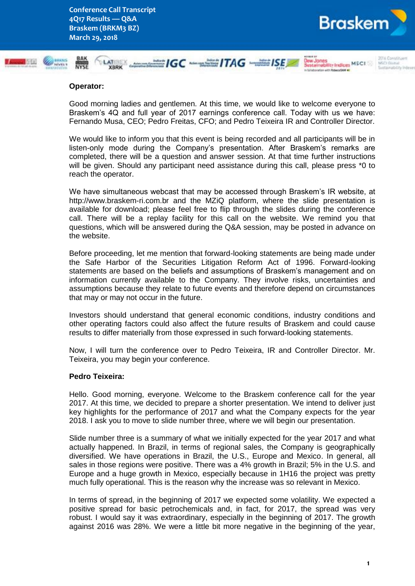

#### **Operator:**

Good morning ladies and gentlemen. At this time, we would like to welcome everyone to Braskem's 4Q and full year of 2017 earnings conference call. Today with us we have: Fernando Musa, CEO; Pedro Freitas, CFO; and Pedro Teixeira IR and Controller Director.

We would like to inform you that this event is being recorded and all participants will be in listen-only mode during the Company's presentation. After Braskem's remarks are completed, there will be a question and answer session. At that time further instructions will be given. Should any participant need assistance during this call, please press \*0 to reach the operator.

We have simultaneous webcast that may be accessed through Braskem's IR website, at http://www.braskem-ri.com.br and the MZiQ platform, where the slide presentation is available for download; please feel free to flip through the slides during the conference call. There will be a replay facility for this call on the website. We remind you that questions, which will be answered during the Q&A session, may be posted in advance on the website.

Before proceeding, let me mention that forward-looking statements are being made under the Safe Harbor of the Securities Litigation Reform Act of 1996. Forward-looking statements are based on the beliefs and assumptions of Braskem's management and on information currently available to the Company. They involve risks, uncertainties and assumptions because they relate to future events and therefore depend on circumstances that may or may not occur in the future.

Investors should understand that general economic conditions, industry conditions and other operating factors could also affect the future results of Braskem and could cause results to differ materially from those expressed in such forward-looking statements.

Now, I will turn the conference over to Pedro Teixeira, IR and Controller Director. Mr. Teixeira, you may begin your conference.

### **Pedro Teixeira:**

Hello. Good morning, everyone. Welcome to the Braskem conference call for the year 2017. At this time, we decided to prepare a shorter presentation. We intend to deliver just key highlights for the performance of 2017 and what the Company expects for the year 2018. I ask you to move to slide number three, where we will begin our presentation.

Slide number three is a summary of what we initially expected for the year 2017 and what actually happened. In Brazil, in terms of regional sales, the Company is geographically diversified. We have operations in Brazil, the U.S., Europe and Mexico. In general, all sales in those regions were positive. There was a 4% growth in Brazil; 5% in the U.S. and Europe and a huge growth in Mexico, especially because in 1H16 the project was pretty much fully operational. This is the reason why the increase was so relevant in Mexico.

In terms of spread, in the beginning of 2017 we expected some volatility. We expected a positive spread for basic petrochemicals and, in fact, for 2017, the spread was very robust. I would say it was extraordinary, especially in the beginning of 2017. The growth against 2016 was 28%. We were a little bit more negative in the beginning of the year,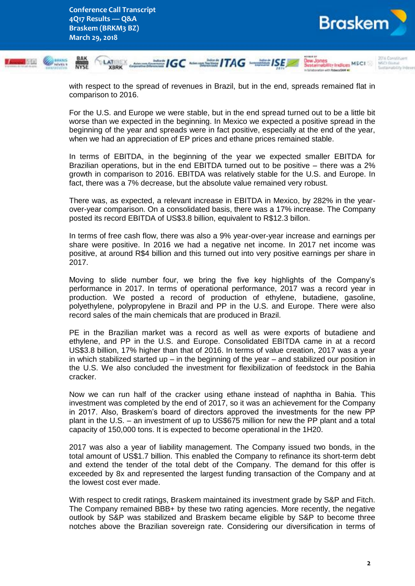

with respect to the spread of revenues in Brazil, but in the end, spreads remained flat in comparison to 2016.

For the U.S. and Europe we were stable, but in the end spread turned out to be a little bit worse than we expected in the beginning. In Mexico we expected a positive spread in the beginning of the year and spreads were in fact positive, especially at the end of the year, when we had an appreciation of EP prices and ethane prices remained stable.

In terms of EBITDA, in the beginning of the year we expected smaller EBITDA for Brazilian operations, but in the end EBITDA turned out to be positive – there was a 2% growth in comparison to 2016. EBITDA was relatively stable for the U.S. and Europe. In fact, there was a 7% decrease, but the absolute value remained very robust.

There was, as expected, a relevant increase in EBITDA in Mexico, by 282% in the yearover-year comparison. On a consolidated basis, there was a 17% increase. The Company posted its record EBITDA of US\$3.8 billion, equivalent to R\$12.3 billon.

In terms of free cash flow, there was also a 9% year-over-year increase and earnings per share were positive. In 2016 we had a negative net income. In 2017 net income was positive, at around R\$4 billion and this turned out into very positive earnings per share in 2017.

Moving to slide number four, we bring the five key highlights of the Company's performance in 2017. In terms of operational performance, 2017 was a record year in production. We posted a record of production of ethylene, butadiene, gasoline, polyethylene, polypropylene in Brazil and PP in the U.S. and Europe. There were also record sales of the main chemicals that are produced in Brazil.

PE in the Brazilian market was a record as well as were exports of butadiene and ethylene, and PP in the U.S. and Europe. Consolidated EBITDA came in at a record US\$3.8 billion, 17% higher than that of 2016. In terms of value creation, 2017 was a year in which stabilized started up – in the beginning of the year – and stabilized our position in the U.S. We also concluded the investment for flexibilization of feedstock in the Bahia cracker.

Now we can run half of the cracker using ethane instead of naphtha in Bahia. This investment was completed by the end of 2017, so it was an achievement for the Company in 2017. Also, Braskem's board of directors approved the investments for the new PP plant in the U.S. – an investment of up to US\$675 million for new the PP plant and a total capacity of 150,000 tons. It is expected to become operational in the 1H20.

2017 was also a year of liability management. The Company issued two bonds, in the total amount of US\$1.7 billion. This enabled the Company to refinance its short-term debt and extend the tender of the total debt of the Company. The demand for this offer is exceeded by 8x and represented the largest funding transaction of the Company and at the lowest cost ever made.

With respect to credit ratings, Braskem maintained its investment grade by S&P and Fitch. The Company remained BBB+ by these two rating agencies. More recently, the negative outlook by S&P was stabilized and Braskem became eligible by S&P to become three notches above the Brazilian sovereign rate. Considering our diversification in terms of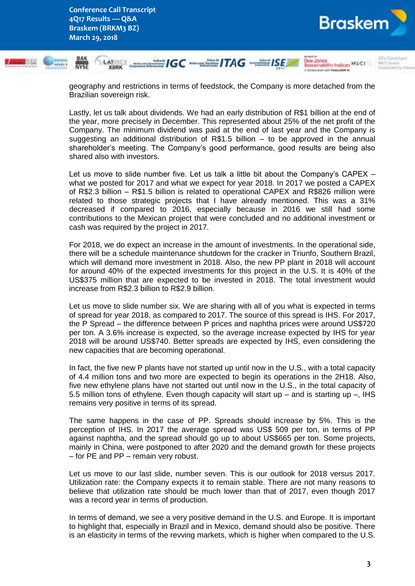



geography and restrictions in terms of feedstock, the Company is more detached from the Brazilian sovereign risk.

Lastly, let us talk about dividends. We had an early distribution of R\$1 billion at the end of the year, more precisely in December. This represented about 25% of the net profit of the Company. The minimum dividend was paid at the end of last year and the Company is suggesting an additional distribution of  $R$1.5$  billion  $-$  to be approved in the annual shareholder's meeting. The Company's good performance, good results are being also shared also with investors.

Let us move to slide number five. Let us talk a little bit about the Company's CAPEX – what we posted for 2017 and what we expect for year 2018. In 2017 we posted a CAPEX of R\$2.3 billion – R\$1.5 billion is related to operational CAPEX and R\$826 million were related to those strategic projects that I have already mentioned. This was a 31% decreased if compared to 2016, especially because in 2016 we still had some contributions to the Mexican project that were concluded and no additional investment or cash was required by the project in 2017.

For 2018, we do expect an increase in the amount of investments. In the operational side, there will be a schedule maintenance shutdown for the cracker in Triunfo, Southern Brazil, which will demand more investment in 2018. Also, the new PP plant in 2018 will account for around 40% of the expected investments for this project in the U.S. It is 40% of the US\$375 million that are expected to be invested in 2018. The total investment would increase from R\$2.3 billion to R\$2.9 billion.

Let us move to slide number six. We are sharing with all of you what is expected in terms of spread for year 2018, as compared to 2017. The source of this spread is IHS. For 2017, the P Spread – the difference between P prices and naphtha prices were around US\$720 per ton. A 3.6% increase is expected, so the average increase expected by IHS for year 2018 will be around US\$740. Better spreads are expected by IHS, even considering the new capacities that are becoming operational.

In fact, the five new P plants have not started up until now in the U.S., with a total capacity of 4.4 million tons and two more are expected to begin its operations in the 2H18. Also, five new ethylene plans have not started out until now in the U.S., in the total capacity of 5.5 million tons of ethylene. Even though capacity will start up – and is starting up –, IHS remains very positive in terms of its spread.

The same happens in the case of PP. Spreads should increase by 5%. This is the perception of IHS. In 2017 the average spread was US\$ 509 per ton, in terms of PP against naphtha, and the spread should go up to about US\$665 per ton. Some projects, mainly in China, were postponed to after 2020 and the demand growth for these projects – for PE and PP – remain very robust.

Let us move to our last slide, number seven. This is our outlook for 2018 versus 2017. Utilization rate: the Company expects it to remain stable. There are not many reasons to believe that utilization rate should be much lower than that of 2017, even though 2017 was a record year in terms of production.

In terms of demand, we see a very positive demand in the U.S. and Europe. It is important to highlight that, especially in Brazil and in Mexico, demand should also be positive. There is an elasticity in terms of the revving markets, which is higher when compared to the U.S.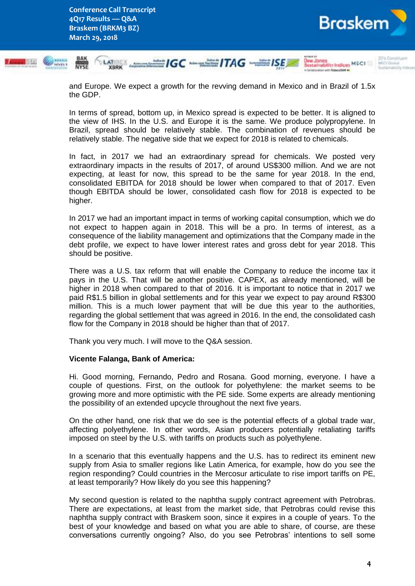**Conference Call Transcript 4Q17 Results — Q&A Braskem (BRKM3 BZ) March 29, 2018**



and Europe. We expect a growth for the revving demand in Mexico and in Brazil of 1.5x the GDP.

In terms of spread, bottom up, in Mexico spread is expected to be better. It is aligned to the view of IHS. In the U.S. and Europe it is the same. We produce polypropylene. In Brazil, spread should be relatively stable. The combination of revenues should be relatively stable. The negative side that we expect for 2018 is related to chemicals.

In fact, in 2017 we had an extraordinary spread for chemicals. We posted very extraordinary impacts in the results of 2017, of around US\$300 million. And we are not expecting, at least for now, this spread to be the same for year 2018. In the end, consolidated EBITDA for 2018 should be lower when compared to that of 2017. Even though EBITDA should be lower, consolidated cash flow for 2018 is expected to be higher.

In 2017 we had an important impact in terms of working capital consumption, which we do not expect to happen again in 2018. This will be a pro. In terms of interest, as a consequence of the liability management and optimizations that the Company made in the debt profile, we expect to have lower interest rates and gross debt for year 2018. This should be positive.

There was a U.S. tax reform that will enable the Company to reduce the income tax it pays in the U.S. That will be another positive. CAPEX, as already mentioned, will be higher in 2018 when compared to that of 2016. It is important to notice that in 2017 we paid R\$1.5 billion in global settlements and for this year we expect to pay around R\$300 million. This is a much lower payment that will be due this year to the authorities, regarding the global settlement that was agreed in 2016. In the end, the consolidated cash flow for the Company in 2018 should be higher than that of 2017.

Thank you very much. I will move to the Q&A session.

### **Vicente Falanga, Bank of America:**

Hi. Good morning, Fernando, Pedro and Rosana. Good morning, everyone. I have a couple of questions. First, on the outlook for polyethylene: the market seems to be growing more and more optimistic with the PE side. Some experts are already mentioning the possibility of an extended upcycle throughout the next five years.

On the other hand, one risk that we do see is the potential effects of a global trade war, affecting polyethylene. In other words, Asian producers potentially retaliating tariffs imposed on steel by the U.S. with tariffs on products such as polyethylene.

In a scenario that this eventually happens and the U.S. has to redirect its eminent new supply from Asia to smaller regions like Latin America, for example, how do you see the region responding? Could countries in the Mercosur articulate to rise import tariffs on PE, at least temporarily? How likely do you see this happening?

My second question is related to the naphtha supply contract agreement with Petrobras. There are expectations, at least from the market side, that Petrobras could revise this naphtha supply contract with Braskem soon, since it expires in a couple of years. To the best of your knowledge and based on what you are able to share, of course, are these conversations currently ongoing? Also, do you see Petrobras' intentions to sell some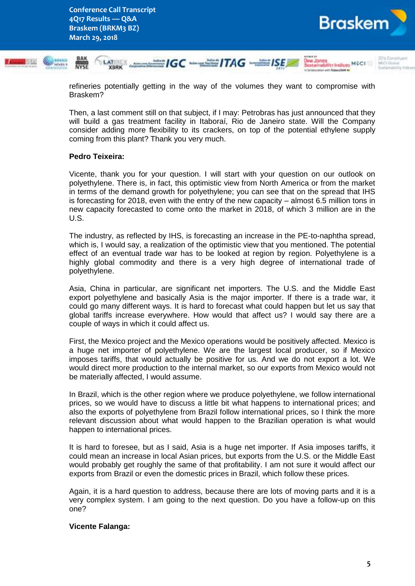

refineries potentially getting in the way of the volumes they want to compromise with Braskem?

Then, a last comment still on that subject, if I may: Petrobras has just announced that they will build a gas treatment facility in Itaboraí, Rio de Janeiro state. Will the Company consider adding more flexibility to its crackers, on top of the potential ethylene supply coming from this plant? Thank you very much.

# **Pedro Teixeira:**

Vicente, thank you for your question. I will start with your question on our outlook on polyethylene. There is, in fact, this optimistic view from North America or from the market in terms of the demand growth for polyethylene; you can see that on the spread that IHS is forecasting for 2018, even with the entry of the new capacity – almost 6.5 million tons in new capacity forecasted to come onto the market in 2018, of which 3 million are in the U.S.

The industry, as reflected by IHS, is forecasting an increase in the PE-to-naphtha spread, which is, I would say, a realization of the optimistic view that you mentioned. The potential effect of an eventual trade war has to be looked at region by region. Polyethylene is a highly global commodity and there is a very high degree of international trade of polyethylene.

Asia, China in particular, are significant net importers. The U.S. and the Middle East export polyethylene and basically Asia is the major importer. If there is a trade war, it could go many different ways. It is hard to forecast what could happen but let us say that global tariffs increase everywhere. How would that affect us? I would say there are a couple of ways in which it could affect us.

First, the Mexico project and the Mexico operations would be positively affected. Mexico is a huge net importer of polyethylene. We are the largest local producer, so if Mexico imposes tariffs, that would actually be positive for us. And we do not export a lot. We would direct more production to the internal market, so our exports from Mexico would not be materially affected, I would assume.

In Brazil, which is the other region where we produce polyethylene, we follow international prices, so we would have to discuss a little bit what happens to international prices; and also the exports of polyethylene from Brazil follow international prices, so I think the more relevant discussion about what would happen to the Brazilian operation is what would happen to international prices.

It is hard to foresee, but as I said, Asia is a huge net importer. If Asia imposes tariffs, it could mean an increase in local Asian prices, but exports from the U.S. or the Middle East would probably get roughly the same of that profitability. I am not sure it would affect our exports from Brazil or even the domestic prices in Brazil, which follow these prices.

Again, it is a hard question to address, because there are lots of moving parts and it is a very complex system. I am going to the next question. Do you have a follow-up on this one?

### **Vicente Falanga:**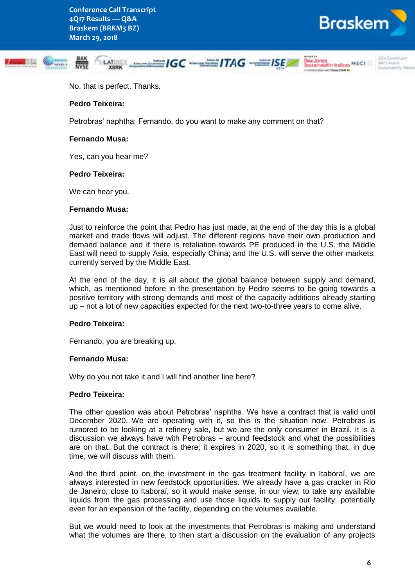

MCCT Course



No, that is perfect. Thanks.

### **Pedro Teixeira:**

Petrobras' naphtha: Fernando, do you want to make any comment on that?

#### **Fernando Musa:**

Yes, can you hear me?

#### **Pedro Teixeira:**

We can hear you.

#### **Fernando Musa:**

Just to reinforce the point that Pedro has just made, at the end of the day this is a global market and trade flows will adjust. The different regions have their own production and demand balance and if there is retaliation towards PE produced in the U.S. the Middle East will need to supply Asia, especially China; and the U.S. will serve the other markets, currently served by the Middle East.

At the end of the day, it is all about the global balance between supply and demand, which, as mentioned before in the presentation by Pedro seems to be going towards a positive territory with strong demands and most of the capacity additions already starting up – not a lot of new capacities expected for the next two-to-three years to come alive.

### **Pedro Teixeira:**

Fernando, you are breaking up.

#### **Fernando Musa:**

Why do you not take it and I will find another line here?

### **Pedro Teixeira:**

The other question was about Petrobras' naphtha. We have a contract that is valid until December 2020. We are operating with it, so this is the situation now. Petrobras is rumored to be looking at a refinery sale, but we are the only consumer in Brazil. It is a discussion we always have with Petrobras – around feedstock and what the possibilities are on that. But the contract is there; it expires in 2020, so it is something that, in due time, we will discuss with them.

And the third point, on the investment in the gas treatment facility in Itaboraí, we are always interested in new feedstock opportunities. We already have a gas cracker in Rio de Janeiro, close to Itaboraí, so it would make sense, in our view, to take any available liquids from the gas processing and use those liquids to supply our facility, potentially even for an expansion of the facility, depending on the volumes available.

But we would need to look at the investments that Petrobras is making and understand what the volumes are there, to then start a discussion on the evaluation of any projects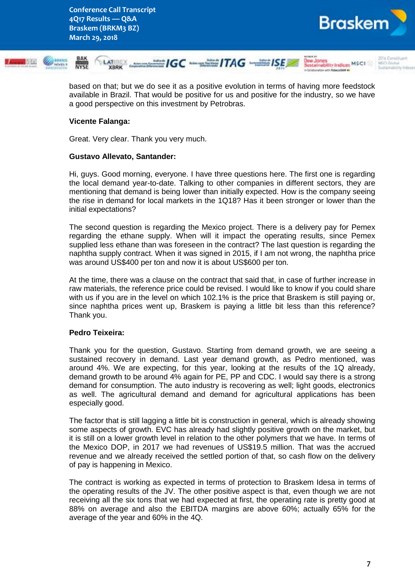

based on that; but we do see it as a positive evolution in terms of having more feedstock available in Brazil. That would be positive for us and positive for the industry, so we have a good perspective on this investment by Petrobras.

# **Vicente Falanga:**

Great. Very clear. Thank you very much.

# **Gustavo Allevato, Santander:**

Hi, guys. Good morning, everyone. I have three questions here. The first one is regarding the local demand year-to-date. Talking to other companies in different sectors, they are mentioning that demand is being lower than initially expected. How is the company seeing the rise in demand for local markets in the 1Q18? Has it been stronger or lower than the initial expectations?

The second question is regarding the Mexico project. There is a delivery pay for Pemex regarding the ethane supply. When will it impact the operating results, since Pemex supplied less ethane than was foreseen in the contract? The last question is regarding the naphtha supply contract. When it was signed in 2015, if I am not wrong, the naphtha price was around US\$400 per ton and now it is about US\$600 per ton.

At the time, there was a clause on the contract that said that, in case of further increase in raw materials, the reference price could be revised. I would like to know if you could share with us if you are in the level on which 102.1% is the price that Braskem is still paying or, since naphtha prices went up, Braskem is paying a little bit less than this reference? Thank you.

# **Pedro Teixeira:**

Thank you for the question, Gustavo. Starting from demand growth, we are seeing a sustained recovery in demand. Last year demand growth, as Pedro mentioned, was around 4%. We are expecting, for this year, looking at the results of the 1Q already, demand growth to be around 4% again for PE, PP and CDC. I would say there is a strong demand for consumption. The auto industry is recovering as well; light goods, electronics as well. The agricultural demand and demand for agricultural applications has been especially good.

The factor that is still lagging a little bit is construction in general, which is already showing some aspects of growth. EVC has already had slightly positive growth on the market, but it is still on a lower growth level in relation to the other polymers that we have. In terms of the Mexico DOP, in 2017 we had revenues of US\$19.5 million. That was the accrued revenue and we already received the settled portion of that, so cash flow on the delivery of pay is happening in Mexico.

The contract is working as expected in terms of protection to Braskem Idesa in terms of the operating results of the JV. The other positive aspect is that, even though we are not receiving all the six tons that we had expected at first, the operating rate is pretty good at 88% on average and also the EBITDA margins are above 60%; actually 65% for the average of the year and 60% in the 4Q.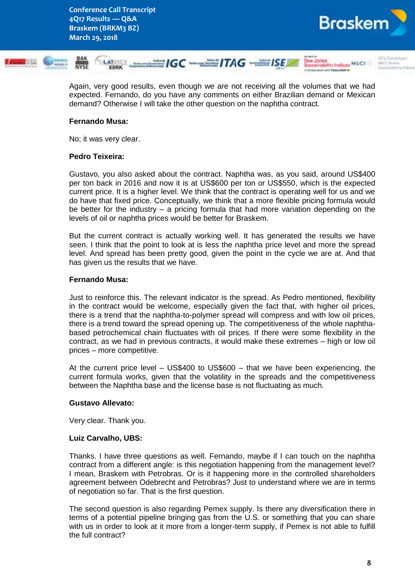

Again, very good results, even though we are not receiving all the volumes that we had expected. Fernando, do you have any comments on either Brazilian demand or Mexican demand? Otherwise I will take the other question on the naphtha contract.

### **Fernando Musa:**

No; it was very clear.

### **Pedro Teixeira:**

Gustavo, you also asked about the contract. Naphtha was, as you said, around US\$400 per ton back in 2016 and now it is at US\$600 per ton or US\$550, which is the expected current price. It is a higher level. We think that the contract is operating well for us and we do have that fixed price. Conceptually, we think that a more flexible pricing formula would be better for the industry – a pricing formula that had more variation depending on the levels of oil or naphtha prices would be better for Braskem.

But the current contract is actually working well. It has generated the results we have seen. I think that the point to look at is less the naphtha price level and more the spread level. And spread has been pretty good, given the point in the cycle we are at. And that has given us the results that we have.

### **Fernando Musa:**

Just to reinforce this. The relevant indicator is the spread. As Pedro mentioned, flexibility in the contract would be welcome, especially given the fact that, with higher oil prices, there is a trend that the naphtha-to-polymer spread will compress and with low oil prices, there is a trend toward the spread opening up. The competitiveness of the whole naphthabased petrochemical chain fluctuates with oil prices. If there were some flexibility in the contract, as we had in previous contracts, it would make these extremes – high or low oil prices – more competitive.

At the current price level – US\$400 to US\$600 – that we have been experiencing, the current formula works, given that the volatility in the spreads and the competitiveness between the Naphtha base and the license base is not fluctuating as much.

### **Gustavo Allevato:**

Very clear. Thank you.

### **Luiz Carvalho, UBS:**

Thanks. I have three questions as well. Fernando, maybe if I can touch on the naphtha contract from a different angle: is this negotiation happening from the management level? I mean, Braskem with Petrobras. Or is it happening more in the controlled shareholders agreement between Odebrecht and Petrobras? Just to understand where we are in terms of negotiation so far. That is the first question.

The second question is also regarding Pemex supply. Is there any diversification there in terms of a potential pipeline bringing gas from the U.S. or something that you can share with us in order to look at it more from a longer-term supply, if Pemex is not able to fulfill the full contract?

**Brasken**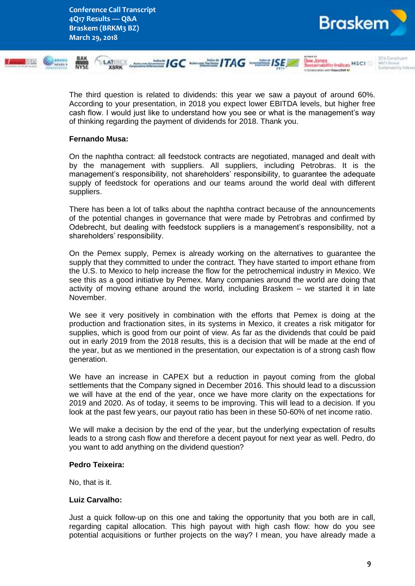

The third question is related to dividends: this year we saw a payout of around 60%. According to your presentation, in 2018 you expect lower EBITDA levels, but higher free cash flow. I would just like to understand how you see or what is the management's way of thinking regarding the payment of dividends for 2018. Thank you.

### **Fernando Musa:**

On the naphtha contract: all feedstock contracts are negotiated, managed and dealt with by the management with suppliers. All suppliers, including Petrobras. It is the management's responsibility, not shareholders' responsibility, to guarantee the adequate supply of feedstock for operations and our teams around the world deal with different suppliers.

There has been a lot of talks about the naphtha contract because of the announcements of the potential changes in governance that were made by Petrobras and confirmed by Odebrecht, but dealing with feedstock suppliers is a management's responsibility, not a shareholders' responsibility.

On the Pemex supply, Pemex is already working on the alternatives to guarantee the supply that they committed to under the contract. They have started to import ethane from the U.S. to Mexico to help increase the flow for the petrochemical industry in Mexico. We see this as a good initiative by Pemex. Many companies around the world are doing that activity of moving ethane around the world, including Braskem – we started it in late November.

We see it very positively in combination with the efforts that Pemex is doing at the production and fractionation sites, in its systems in Mexico, it creates a risk mitigator for supplies, which is good from our point of view. As far as the dividends that could be paid out in early 2019 from the 2018 results, this is a decision that will be made at the end of the year, but as we mentioned in the presentation, our expectation is of a strong cash flow generation.

We have an increase in CAPEX but a reduction in payout coming from the global settlements that the Company signed in December 2016. This should lead to a discussion we will have at the end of the year, once we have more clarity on the expectations for 2019 and 2020. As of today, it seems to be improving. This will lead to a decision. If you look at the past few years, our payout ratio has been in these 50-60% of net income ratio.

We will make a decision by the end of the year, but the underlying expectation of results leads to a strong cash flow and therefore a decent payout for next year as well. Pedro, do you want to add anything on the dividend question?

### **Pedro Teixeira:**

No, that is it.

### **Luiz Carvalho:**

Just a quick follow-up on this one and taking the opportunity that you both are in call, regarding capital allocation. This high payout with high cash flow: how do you see potential acquisitions or further projects on the way? I mean, you have already made a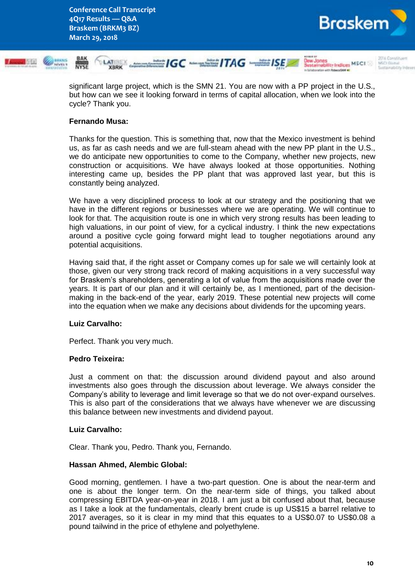



significant large project, which is the SMN 21. You are now with a PP project in the U.S., but how can we see it looking forward in terms of capital allocation, when we look into the cycle? Thank you.

# **Fernando Musa:**

Thanks for the question. This is something that, now that the Mexico investment is behind us, as far as cash needs and we are full-steam ahead with the new PP plant in the U.S., we do anticipate new opportunities to come to the Company, whether new projects, new construction or acquisitions. We have always looked at those opportunities. Nothing interesting came up, besides the PP plant that was approved last year, but this is constantly being analyzed.

We have a very disciplined process to look at our strategy and the positioning that we have in the different regions or businesses where we are operating. We will continue to look for that. The acquisition route is one in which very strong results has been leading to high valuations, in our point of view, for a cyclical industry. I think the new expectations around a positive cycle going forward might lead to tougher negotiations around any potential acquisitions.

Having said that, if the right asset or Company comes up for sale we will certainly look at those, given our very strong track record of making acquisitions in a very successful way for Braskem's shareholders, generating a lot of value from the acquisitions made over the years. It is part of our plan and it will certainly be, as I mentioned, part of the decisionmaking in the back-end of the year, early 2019. These potential new projects will come into the equation when we make any decisions about dividends for the upcoming years.

# **Luiz Carvalho:**

Perfect. Thank you very much.

# **Pedro Teixeira:**

Just a comment on that: the discussion around dividend payout and also around investments also goes through the discussion about leverage. We always consider the Company's ability to leverage and limit leverage so that we do not over-expand ourselves. This is also part of the considerations that we always have whenever we are discussing this balance between new investments and dividend payout.

### **Luiz Carvalho:**

Clear. Thank you, Pedro. Thank you, Fernando.

# **Hassan Ahmed, Alembic Global:**

Good morning, gentlemen. I have a two-part question. One is about the near-term and one is about the longer term. On the near-term side of things, you talked about compressing EBITDA year-on-year in 2018. I am just a bit confused about that, because as I take a look at the fundamentals, clearly brent crude is up US\$15 a barrel relative to 2017 averages, so it is clear in my mind that this equates to a US\$0.07 to US\$0.08 a pound tailwind in the price of ethylene and polyethylene.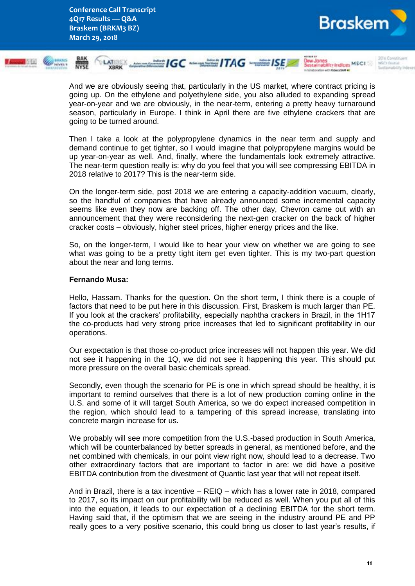



And we are obviously seeing that, particularly in the US market, where contract pricing is going up. On the ethylene and polyethylene side, you also alluded to expanding spread year-on-year and we are obviously, in the near-term, entering a pretty heavy turnaround season, particularly in Europe. I think in April there are five ethylene crackers that are going to be turned around.

Then I take a look at the polypropylene dynamics in the near term and supply and demand continue to get tighter, so I would imagine that polypropylene margins would be up year-on-year as well. And, finally, where the fundamentals look extremely attractive. The near-term question really is: why do you feel that you will see compressing EBITDA in 2018 relative to 2017? This is the near-term side.

On the longer-term side, post 2018 we are entering a capacity-addition vacuum, clearly, so the handful of companies that have already announced some incremental capacity seems like even they now are backing off. The other day, Chevron came out with an announcement that they were reconsidering the next-gen cracker on the back of higher cracker costs – obviously, higher steel prices, higher energy prices and the like.

So, on the longer-term, I would like to hear your view on whether we are going to see what was going to be a pretty tight item get even tighter. This is my two-part question about the near and long terms.

# **Fernando Musa:**

Hello, Hassam. Thanks for the question. On the short term, I think there is a couple of factors that need to be put here in this discussion. First, Braskem is much larger than PE. If you look at the crackers' profitability, especially naphtha crackers in Brazil, in the 1H17 the co-products had very strong price increases that led to significant profitability in our operations.

Our expectation is that those co-product price increases will not happen this year. We did not see it happening in the 1Q, we did not see it happening this year. This should put more pressure on the overall basic chemicals spread.

Secondly, even though the scenario for PE is one in which spread should be healthy, it is important to remind ourselves that there is a lot of new production coming online in the U.S. and some of it will target South America, so we do expect increased competition in the region, which should lead to a tampering of this spread increase, translating into concrete margin increase for us.

We probably will see more competition from the U.S.-based production in South America, which will be counterbalanced by better spreads in general, as mentioned before, and the net combined with chemicals, in our point view right now, should lead to a decrease. Two other extraordinary factors that are important to factor in are: we did have a positive EBITDA contribution from the divestment of Quantic last year that will not repeat itself.

And in Brazil, there is a tax incentive – REIQ – which has a lower rate in 2018, compared to 2017, so its impact on our profitability will be reduced as well. When you put all of this into the equation, it leads to our expectation of a declining EBITDA for the short term. Having said that, if the optimism that we are seeing in the industry around PE and PP really goes to a very positive scenario, this could bring us closer to last year's results, if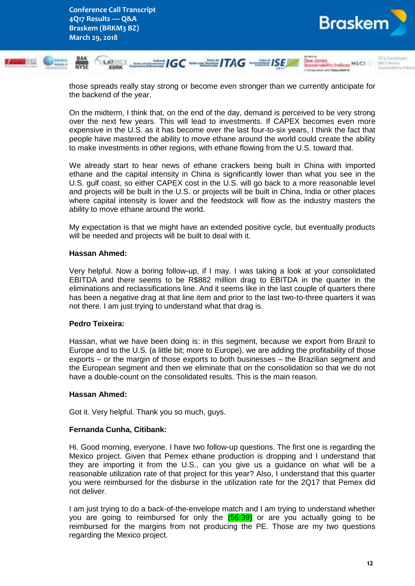



those spreads really stay strong or become even stronger than we currently anticipate for the backend of the year.

On the midterm, I think that, on the end of the day, demand is perceived to be very strong over the next few years. This will lead to investments. If CAPEX becomes even more expensive in the U.S. as it has become over the last four-to-six years, I think the fact that people have mastered the ability to move ethane around the world could create the ability to make investments in other regions, with ethane flowing from the U.S. toward that.

We already start to hear news of ethane crackers being built in China with imported ethane and the capital intensity in China is significantly lower than what you see in the U.S. gulf coast, so either CAPEX cost in the U.S. will go back to a more reasonable level and projects will be built in the U.S. or projects will be built in China, India or other places where capital intensity is lower and the feedstock will flow as the industry masters the ability to move ethane around the world.

My expectation is that we might have an extended positive cycle, but eventually products will be needed and projects will be built to deal with it.

### **Hassan Ahmed:**

Very helpful. Now a boring follow-up, if I may. I was taking a look at your consolidated EBITDA and there seems to be R\$882 million drag to EBITDA in the quarter in the eliminations and reclassifications line. And it seems like in the last couple of quarters there has been a negative drag at that line item and prior to the last two-to-three quarters it was not there. I am just trying to understand what that drag is.

### **Pedro Teixeira:**

Hassan, what we have been doing is: in this segment, because we export from Brazil to Europe and to the U.S. (a little bit; more to Europe), we are adding the profitability of those exports – or the margin of those exports to both businesses – the Brazilian segment and the European segment and then we eliminate that on the consolidation so that we do not have a double-count on the consolidated results. This is the main reason.

### **Hassan Ahmed:**

Got it. Very helpful. Thank you so much, guys.

# **Fernanda Cunha, Citibank:**

Hi. Good morning, everyone. I have two follow-up questions. The first one is regarding the Mexico project. Given that Pemex ethane production is dropping and I understand that they are importing it from the U.S., can you give us a guidance on what will be a reasonable utilization rate of that project for this year? Also, I understand that this quarter you were reimbursed for the disburse in the utilization rate for the 2Q17 that Pemex did not deliver.

I am just trying to do a back-of-the-envelope match and I am trying to understand whether you are going to reimbursed for only the  $(56:39)$  or are you actually going to be reimbursed for the margins from not producing the PE. Those are my two questions regarding the Mexico project.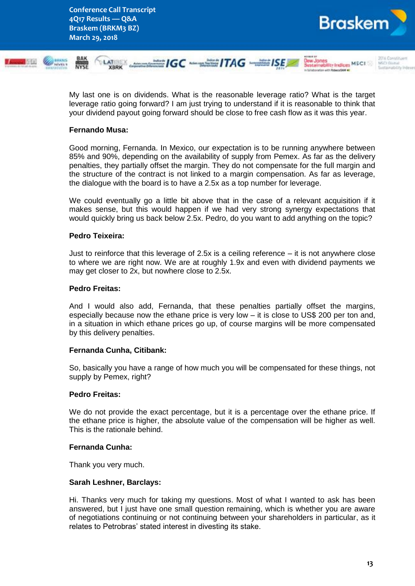**Conference Call Transcript 4Q17 Results — Q&A Braskem (BRKM3 BZ) March 29, 2018**



My last one is on dividends. What is the reasonable leverage ratio? What is the target leverage ratio going forward? I am just trying to understand if it is reasonable to think that your dividend payout going forward should be close to free cash flow as it was this year.

# **Fernando Musa:**

Good morning, Fernanda. In Mexico, our expectation is to be running anywhere between 85% and 90%, depending on the availability of supply from Pemex. As far as the delivery penalties, they partially offset the margin. They do not compensate for the full margin and the structure of the contract is not linked to a margin compensation. As far as leverage, the dialogue with the board is to have a 2.5x as a top number for leverage.

We could eventually go a little bit above that in the case of a relevant acquisition if it makes sense, but this would happen if we had very strong synergy expectations that would quickly bring us back below 2.5x. Pedro, do you want to add anything on the topic?

# **Pedro Teixeira:**

Just to reinforce that this leverage of 2.5x is a ceiling reference – it is not anywhere close to where we are right now. We are at roughly 1.9x and even with dividend payments we may get closer to 2x, but nowhere close to 2.5x.

# **Pedro Freitas:**

And I would also add, Fernanda, that these penalties partially offset the margins, especially because now the ethane price is very low – it is close to US\$ 200 per ton and, in a situation in which ethane prices go up, of course margins will be more compensated by this delivery penalties.

# **Fernanda Cunha, Citibank:**

So, basically you have a range of how much you will be compensated for these things, not supply by Pemex, right?

### **Pedro Freitas:**

We do not provide the exact percentage, but it is a percentage over the ethane price. If the ethane price is higher, the absolute value of the compensation will be higher as well. This is the rationale behind.

# **Fernanda Cunha:**

Thank you very much.

### **Sarah Leshner, Barclays:**

Hi. Thanks very much for taking my questions. Most of what I wanted to ask has been answered, but I just have one small question remaining, which is whether you are aware of negotiations continuing or not continuing between your shareholders in particular, as it relates to Petrobras' stated interest in divesting its stake.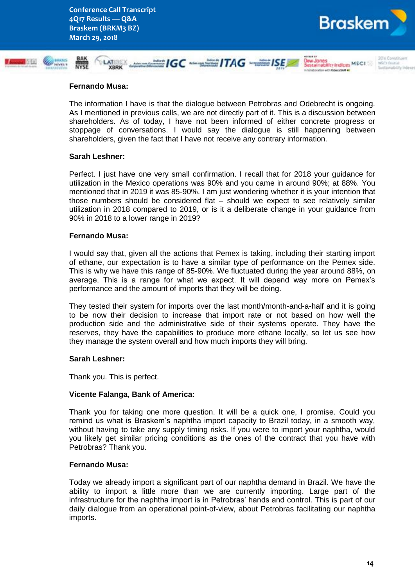

MCCT Course

**Jaw Jones** 

Sestainability Indices MSCI

### **Fernando Musa:**

The information I have is that the dialogue between Petrobras and Odebrecht is ongoing. As I mentioned in previous calls, we are not directly part of it. This is a discussion between shareholders. As of today, I have not been informed of either concrete progress or stoppage of conversations. I would say the dialogue is still happening between shareholders, given the fact that I have not receive any contrary information.

 $\equiv$  IGC  $\equiv$  ITAG  $\equiv$  ISE

### **Sarah Leshner:**

Perfect. I just have one very small confirmation. I recall that for 2018 your guidance for utilization in the Mexico operations was 90% and you came in around 90%; at 88%. You mentioned that in 2019 it was 85-90%. I am just wondering whether it is your intention that those numbers should be considered flat – should we expect to see relatively similar utilization in 2018 compared to 2019, or is it a deliberate change in your guidance from 90% in 2018 to a lower range in 2019?

### **Fernando Musa:**

I would say that, given all the actions that Pemex is taking, including their starting import of ethane, our expectation is to have a similar type of performance on the Pemex side. This is why we have this range of 85-90%. We fluctuated during the year around 88%, on average. This is a range for what we expect. It will depend way more on Pemex's performance and the amount of imports that they will be doing.

They tested their system for imports over the last month/month-and-a-half and it is going to be now their decision to increase that import rate or not based on how well the production side and the administrative side of their systems operate. They have the reserves, they have the capabilities to produce more ethane locally, so let us see how they manage the system overall and how much imports they will bring.

### **Sarah Leshner:**

Thank you. This is perfect.

### **Vicente Falanga, Bank of America:**

Thank you for taking one more question. It will be a quick one, I promise. Could you remind us what is Braskem's naphtha import capacity to Brazil today, in a smooth way, without having to take any supply timing risks. If you were to import your naphtha, would you likely get similar pricing conditions as the ones of the contract that you have with Petrobras? Thank you.

### **Fernando Musa:**

Today we already import a significant part of our naphtha demand in Brazil. We have the ability to import a little more than we are currently importing. Large part of the infrastructure for the naphtha import is in Petrobras' hands and control. This is part of our daily dialogue from an operational point-of-view, about Petrobras facilitating our naphtha imports.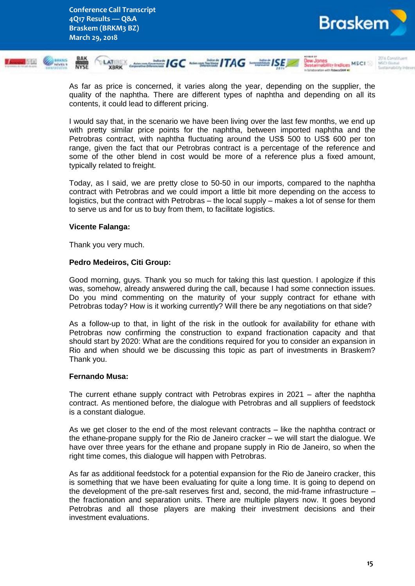



As far as price is concerned, it varies along the year, depending on the supplier, the quality of the naphtha. There are different types of naphtha and depending on all its contents, it could lead to different pricing.

I would say that, in the scenario we have been living over the last few months, we end up with pretty similar price points for the naphtha, between imported naphtha and the Petrobras contract, with naphtha fluctuating around the US\$ 500 to US\$ 600 per ton range, given the fact that our Petrobras contract is a percentage of the reference and some of the other blend in cost would be more of a reference plus a fixed amount, typically related to freight.

Today, as I said, we are pretty close to 50-50 in our imports, compared to the naphtha contract with Petrobras and we could import a little bit more depending on the access to logistics, but the contract with Petrobras – the local supply – makes a lot of sense for them to serve us and for us to buy from them, to facilitate logistics.

### **Vicente Falanga:**

Thank you very much.

### **Pedro Medeiros, Citi Group:**

Good morning, guys. Thank you so much for taking this last question. I apologize if this was, somehow, already answered during the call, because I had some connection issues. Do you mind commenting on the maturity of your supply contract for ethane with Petrobras today? How is it working currently? Will there be any negotiations on that side?

As a follow-up to that, in light of the risk in the outlook for availability for ethane with Petrobras now confirming the construction to expand fractionation capacity and that should start by 2020: What are the conditions required for you to consider an expansion in Rio and when should we be discussing this topic as part of investments in Braskem? Thank you.

### **Fernando Musa:**

The current ethane supply contract with Petrobras expires in 2021 – after the naphtha contract. As mentioned before, the dialogue with Petrobras and all suppliers of feedstock is a constant dialogue.

As we get closer to the end of the most relevant contracts – like the naphtha contract or the ethane-propane supply for the Rio de Janeiro cracker – we will start the dialogue. We have over three years for the ethane and propane supply in Rio de Janeiro, so when the right time comes, this dialogue will happen with Petrobras.

As far as additional feedstock for a potential expansion for the Rio de Janeiro cracker, this is something that we have been evaluating for quite a long time. It is going to depend on the development of the pre-salt reserves first and, second, the mid-frame infrastructure – the fractionation and separation units. There are multiple players now. It goes beyond Petrobras and all those players are making their investment decisions and their investment evaluations.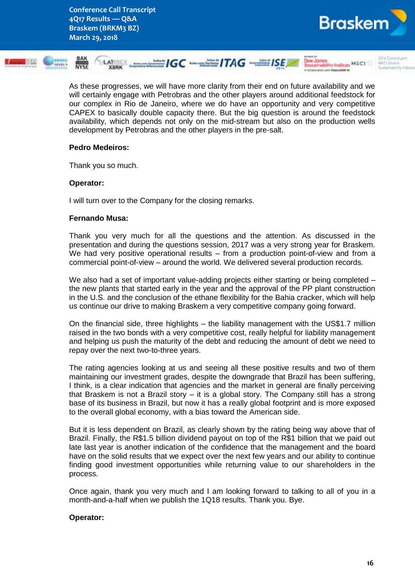

As these progresses, we will have more clarity from their end on future availability and we will certainly engage with Petrobras and the other players around additional feedstock for our complex in Rio de Janeiro, where we do have an opportunity and very competitive CAPEX to basically double capacity there. But the big question is around the feedstock availability, which depends not only on the mid-stream but also on the production wells development by Petrobras and the other players in the pre-salt.

### **Pedro Medeiros:**

Thank you so much.

### **Operator:**

I will turn over to the Company for the closing remarks.

### **Fernando Musa:**

Thank you very much for all the questions and the attention. As discussed in the presentation and during the questions session, 2017 was a very strong year for Braskem. We had very positive operational results – from a production point-of-view and from a commercial point-of-view – around the world. We delivered several production records.

We also had a set of important value-adding projects either starting or being completed – the new plants that started early in the year and the approval of the PP plant construction in the U.S. and the conclusion of the ethane flexibility for the Bahia cracker, which will help us continue our drive to making Braskem a very competitive company going forward.

On the financial side, three highlights – the liability management with the US\$1.7 million raised in the two bonds with a very competitive cost, really helpful for liability management and helping us push the maturity of the debt and reducing the amount of debt we need to repay over the next two-to-three years.

The rating agencies looking at us and seeing all these positive results and two of them maintaining our investment grades, despite the downgrade that Brazil has been suffering, I think, is a clear indication that agencies and the market in general are finally perceiving that Braskem is not a Brazil story – it is a global story. The Company still has a strong base of its business in Brazil, but now it has a really global footprint and is more exposed to the overall global economy, with a bias toward the American side.

But it is less dependent on Brazil, as clearly shown by the rating being way above that of Brazil. Finally, the R\$1.5 billion dividend payout on top of the R\$1 billion that we paid out late last year is another indication of the confidence that the management and the board have on the solid results that we expect over the next few years and our ability to continue finding good investment opportunities while returning value to our shareholders in the process.

Once again, thank you very much and I am looking forward to talking to all of you in a month-and-a-half when we publish the 1Q18 results. Thank you. Bye.

# **Operator:**